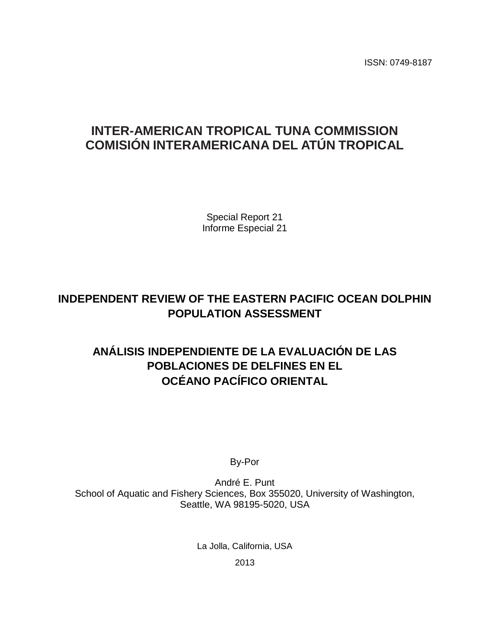ISSN: 0749-8187

# **INTER-AMERICAN TROPICAL TUNA COMMISSION COMISIÓN INTERAMERICANA DEL ATÚN TROPICAL**

Special Report 21 Informe Especial 21

# **INDEPENDENT REVIEW OF THE EASTERN PACIFIC OCEAN DOLPHIN POPULATION ASSESSMENT**

# **ANÁLISIS INDEPENDIENTE DE LA EVALUACIÓN DE LAS POBLACIONES DE DELFINES EN EL OCÉANO PACÍFICO ORIENTAL**

By-Por

André E. Punt School of Aquatic and Fishery Sciences, Box 355020, University of Washington, Seattle, WA 98195-5020, USA

La Jolla, California, USA

2013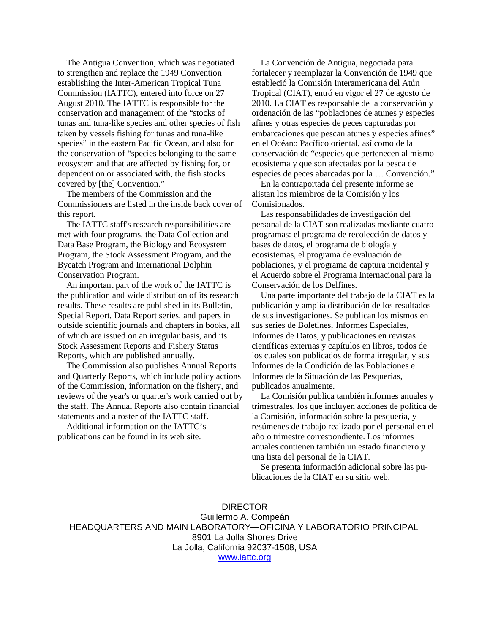The Antigua Convention, which was negotiated to strengthen and replace the 1949 Convention establishing the Inter-American Tropical Tuna Commission (IATTC), entered into force on 27 August 2010. The IATTC is responsible for the conservation and management of the "stocks of tunas and tuna-like species and other species of fish taken by vessels fishing for tunas and tuna-like species" in the eastern Pacific Ocean, and also for the conservation of "species belonging to the same ecosystem and that are affected by fishing for, or dependent on or associated with, the fish stocks covered by [the] Convention."

 The members of the Commission and the Commissioners are listed in the inside back cover of this report.

 The IATTC staff's research responsibilities are met with four programs, the Data Collection and Data Base Program, the Biology and Ecosystem Program, the Stock Assessment Program, and the Bycatch Program and International Dolphin Conservation Program.

 An important part of the work of the IATTC is the publication and wide distribution of its research results. These results are published in its Bulletin, Special Report, Data Report series, and papers in outside scientific journals and chapters in books, all of which are issued on an irregular basis, and its Stock Assessment Reports and Fishery Status Reports, which are published annually.

 The Commission also publishes Annual Reports and Quarterly Reports, which include policy actions of the Commission, information on the fishery, and reviews of the year's or quarter's work carried out by the staff. The Annual Reports also contain financial statements and a roster of the IATTC staff.

 Additional information on the IATTC's publications can be found in its web site.

 La Convención de Antigua, negociada para fortalecer y reemplazar la Convención de 1949 que estableció la Comisión Interamericana del Atún Tropical (CIAT), entró en vigor el 27 de agosto de 2010. La CIAT es responsable de la conservación y ordenación de las "poblaciones de atunes y especies afines y otras especies de peces capturadas por embarcaciones que pescan atunes y especies afines" en el Océano Pacífico oriental, así como de la conservación de "especies que pertenecen al mismo ecosistema y que son afectadas por la pesca de especies de peces abarcadas por la … Convención."

 En la contraportada del presente informe se alistan los miembros de la Comisión y los Comisionados.

 Las responsabilidades de investigación del personal de la CIAT son realizadas mediante cuatro programas: el programa de recolección de datos y bases de datos, el programa de biología y ecosistemas, el programa de evaluación de poblaciones, y el programa de captura incidental y el Acuerdo sobre el Programa Internacional para la Conservación de los Delfines.

 Una parte importante del trabajo de la CIAT es la publicación y amplia distribución de los resultados de sus investigaciones. Se publican los mismos en sus series de Boletines, Informes Especiales, Informes de Datos, y publicaciones en revistas científicas externas y capítulos en libros, todos de los cuales son publicados de forma irregular, y sus Informes de la Condición de las Poblaciones e Informes de la Situación de las Pesquerías, publicados anualmente.

 La Comisión publica también informes anuales y trimestrales, los que incluyen acciones de política de la Comisión, información sobre la pesquería, y resúmenes de trabajo realizado por el personal en el año o trimestre correspondiente. Los informes anuales contienen también un estado financiero y una lista del personal de la CIAT.

 Se presenta información adicional sobre las publicaciones de la CIAT en su sitio web.

DIRECTOR Guillermo A. Compeán HEADQUARTERS AND MAIN LABORATORY—OFICINA Y LABORATORIO PRINCIPAL 8901 La Jolla Shores Drive La Jolla, California 92037-1508, USA [www.iattc.org](http://www.iattc.org/)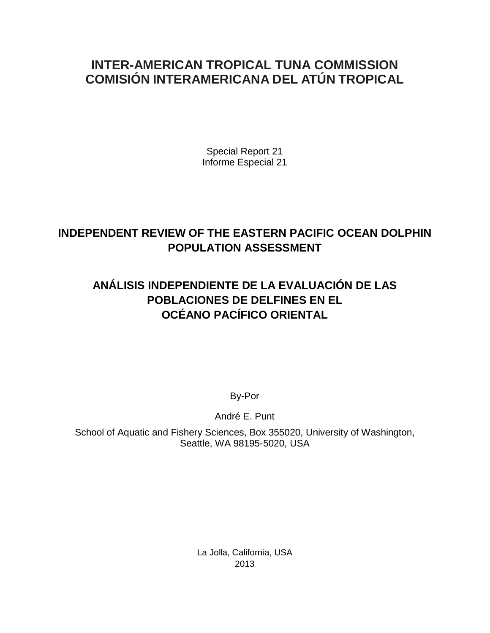# **INTER-AMERICAN TROPICAL TUNA COMMISSION COMISIÓN INTERAMERICANA DEL ATÚN TROPICAL**

Special Report 21 Informe Especial 21

# **INDEPENDENT REVIEW OF THE EASTERN PACIFIC OCEAN DOLPHIN POPULATION ASSESSMENT**

# **ANÁLISIS INDEPENDIENTE DE LA EVALUACIÓN DE LAS POBLACIONES DE DELFINES EN EL OCÉANO PACÍFICO ORIENTAL**

By-Por

André E. Punt

School of Aquatic and Fishery Sciences, Box 355020, University of Washington, Seattle, WA 98195-5020, USA

> La Jolla, California, USA 2013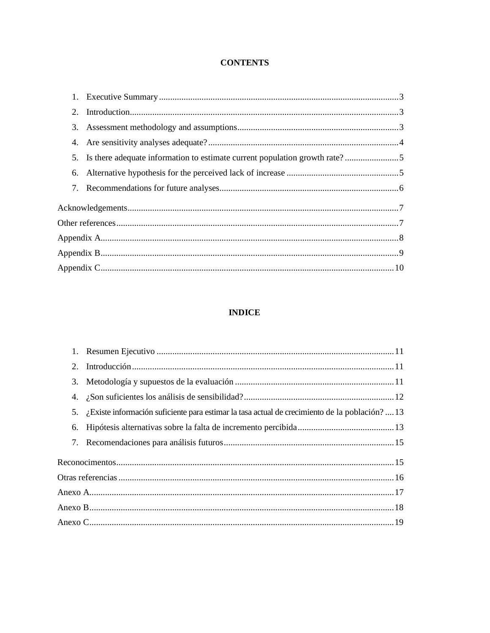# **CONTENTS**

| 2. |                                                                            |  |  |  |
|----|----------------------------------------------------------------------------|--|--|--|
| 3. |                                                                            |  |  |  |
| 4. |                                                                            |  |  |  |
| 5. | Is there adequate information to estimate current population growth rate?5 |  |  |  |
| 6. |                                                                            |  |  |  |
|    |                                                                            |  |  |  |
|    |                                                                            |  |  |  |
|    |                                                                            |  |  |  |
|    |                                                                            |  |  |  |
|    |                                                                            |  |  |  |
|    |                                                                            |  |  |  |

# **INDICE**

| 2. |                                                                                                |  |  |  |  |  |
|----|------------------------------------------------------------------------------------------------|--|--|--|--|--|
| 3. |                                                                                                |  |  |  |  |  |
|    |                                                                                                |  |  |  |  |  |
| 5. | ¿Existe información suficiente para estimar la tasa actual de crecimiento de la población?  13 |  |  |  |  |  |
| 6. |                                                                                                |  |  |  |  |  |
|    |                                                                                                |  |  |  |  |  |
|    |                                                                                                |  |  |  |  |  |
|    |                                                                                                |  |  |  |  |  |
|    |                                                                                                |  |  |  |  |  |
|    |                                                                                                |  |  |  |  |  |
|    |                                                                                                |  |  |  |  |  |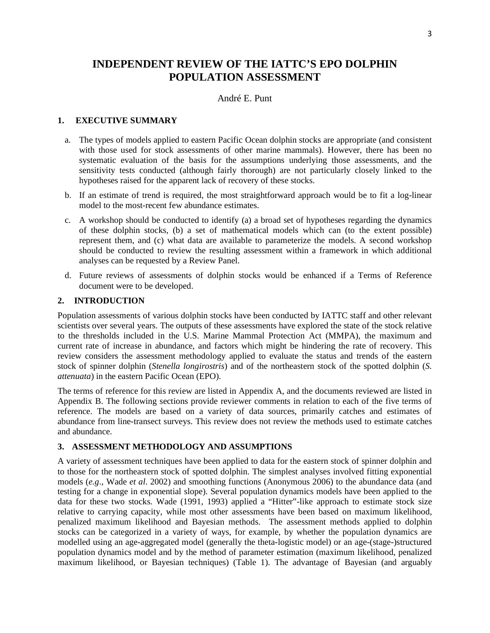# <span id="page-4-0"></span>**INDEPENDENT REVIEW OF THE IATTC'S EPO DOLPHIN POPULATION ASSESSMENT**

## André E. Punt

### **1. EXECUTIVE SUMMARY**

- a. The types of models applied to eastern Pacific Ocean dolphin stocks are appropriate (and consistent with those used for stock assessments of other marine mammals). However, there has been no systematic evaluation of the basis for the assumptions underlying those assessments, and the sensitivity tests conducted (although fairly thorough) are not particularly closely linked to the hypotheses raised for the apparent lack of recovery of these stocks.
- b. If an estimate of trend is required, the most straightforward approach would be to fit a log-linear model to the most-recent few abundance estimates.
- c. A workshop should be conducted to identify (a) a broad set of hypotheses regarding the dynamics of these dolphin stocks, (b) a set of mathematical models which can (to the extent possible) represent them, and (c) what data are available to parameterize the models. A second workshop should be conducted to review the resulting assessment within a framework in which additional analyses can be requested by a Review Panel.
- d. Future reviews of assessments of dolphin stocks would be enhanced if a Terms of Reference document were to be developed.

### **2. INTRODUCTION**

Population assessments of various dolphin stocks have been conducted by IATTC staff and other relevant scientists over several years. The outputs of these assessments have explored the state of the stock relative to the thresholds included in the U.S. Marine Mammal Protection Act (MMPA), the maximum and current rate of increase in abundance, and factors which might be hindering the rate of recovery. This review considers the assessment methodology applied to evaluate the status and trends of the eastern stock of spinner dolphin (*Stenella longirostris*) and of the northeastern stock of the spotted dolphin (*S. attenuata*) in the eastern Pacific Ocean (EPO).

The terms of reference for this review are listed in Appendix A, and the documents reviewed are listed in Appendix B. The following sections provide reviewer comments in relation to each of the five terms of reference. The models are based on a variety of data sources, primarily catches and estimates of abundance from line-transect surveys. This review does not review the methods used to estimate catches and abundance.

## **3. ASSESSMENT METHODOLOGY AND ASSUMPTIONS**

A variety of assessment techniques have been applied to data for the eastern stock of spinner dolphin and to those for the northeastern stock of spotted dolphin. The simplest analyses involved fitting exponential models (*e.g*., Wade *et al*. 2002) and smoothing functions (Anonymous 2006) to the abundance data (and testing for a change in exponential slope). Several population dynamics models have been applied to the data for these two stocks. Wade (1991, 1993) applied a "Hitter"-like approach to estimate stock size relative to carrying capacity, while most other assessments have been based on maximum likelihood, penalized maximum likelihood and Bayesian methods. The assessment methods applied to dolphin stocks can be categorized in a variety of ways, for example, by whether the population dynamics are modelled using an age-aggregated model (generally the theta-logistic model) or an age-(stage-)structured population dynamics model and by the method of parameter estimation (maximum likelihood, penalized maximum likelihood, or Bayesian techniques) (Table 1). The advantage of Bayesian (and arguably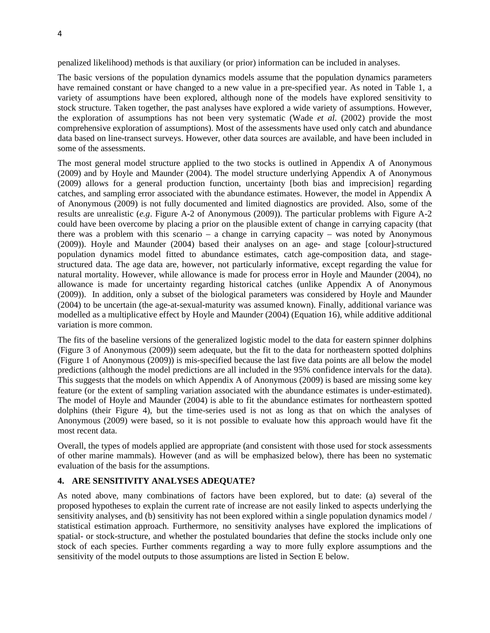<span id="page-5-0"></span>penalized likelihood) methods is that auxiliary (or prior) information can be included in analyses.

The basic versions of the population dynamics models assume that the population dynamics parameters have remained constant or have changed to a new value in a pre-specified year. As noted in Table 1, a variety of assumptions have been explored, although none of the models have explored sensitivity to stock structure. Taken together, the past analyses have explored a wide variety of assumptions. However, the exploration of assumptions has not been very systematic (Wade *et al*. (2002) provide the most comprehensive exploration of assumptions). Most of the assessments have used only catch and abundance data based on line-transect surveys. However, other data sources are available, and have been included in some of the assessments.

The most general model structure applied to the two stocks is outlined in Appendix A of Anonymous (2009) and by Hoyle and Maunder (2004). The model structure underlying Appendix A of Anonymous (2009) allows for a general production function, uncertainty [both bias and imprecision] regarding catches, and sampling error associated with the abundance estimates. However, the model in Appendix A of Anonymous (2009) is not fully documented and limited diagnostics are provided. Also, some of the results are unrealistic (*e.g*. Figure A-2 of Anonymous (2009)). The particular problems with Figure A-2 could have been overcome by placing a prior on the plausible extent of change in carrying capacity (that there was a problem with this scenario – a change in carrying capacity – was noted by Anonymous (2009)). Hoyle and Maunder (2004) based their analyses on an age- and stage [colour]-structured population dynamics model fitted to abundance estimates, catch age-composition data, and stagestructured data. The age data are, however, not particularly informative, except regarding the value for natural mortality. However, while allowance is made for process error in Hoyle and Maunder (2004), no allowance is made for uncertainty regarding historical catches (unlike Appendix A of Anonymous (2009)). In addition, only a subset of the biological parameters was considered by Hoyle and Maunder (2004) to be uncertain (the age-at-sexual-maturity was assumed known). Finally, additional variance was modelled as a multiplicative effect by Hoyle and Maunder (2004) (Equation 16), while additive additional variation is more common.

The fits of the baseline versions of the generalized logistic model to the data for eastern spinner dolphins (Figure 3 of Anonymous (2009)) seem adequate, but the fit to the data for northeastern spotted dolphins (Figure 1 of Anonymous (2009)) is mis-specified because the last five data points are all below the model predictions (although the model predictions are all included in the 95% confidence intervals for the data). This suggests that the models on which Appendix A of Anonymous (2009) is based are missing some key feature (or the extent of sampling variation associated with the abundance estimates is under-estimated). The model of Hoyle and Maunder (2004) is able to fit the abundance estimates for northeastern spotted dolphins (their Figure 4), but the time-series used is not as long as that on which the analyses of Anonymous (2009) were based, so it is not possible to evaluate how this approach would have fit the most recent data.

Overall, the types of models applied are appropriate (and consistent with those used for stock assessments of other marine mammals). However (and as will be emphasized below), there has been no systematic evaluation of the basis for the assumptions.

### **4. ARE SENSITIVITY ANALYSES ADEQUATE?**

As noted above, many combinations of factors have been explored, but to date: (a) several of the proposed hypotheses to explain the current rate of increase are not easily linked to aspects underlying the sensitivity analyses, and (b) sensitivity has not been explored within a single population dynamics model / statistical estimation approach. Furthermore, no sensitivity analyses have explored the implications of spatial- or stock-structure, and whether the postulated boundaries that define the stocks include only one stock of each species. Further comments regarding a way to more fully explore assumptions and the sensitivity of the model outputs to those assumptions are listed in Section E below.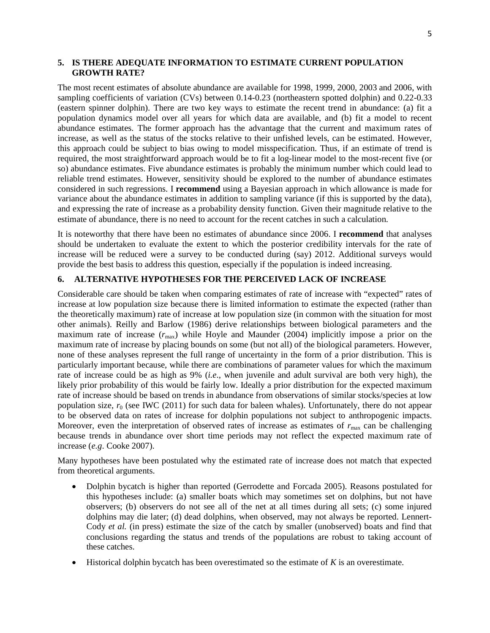#### <span id="page-6-0"></span>**5. IS THERE ADEQUATE INFORMATION TO ESTIMATE CURRENT POPULATION GROWTH RATE?**

The most recent estimates of absolute abundance are available for 1998, 1999, 2000, 2003 and 2006, with sampling coefficients of variation (CVs) between 0.14-0.23 (northeastern spotted dolphin) and 0.22-0.33 (eastern spinner dolphin). There are two key ways to estimate the recent trend in abundance: (a) fit a population dynamics model over all years for which data are available, and (b) fit a model to recent abundance estimates. The former approach has the advantage that the current and maximum rates of increase, as well as the status of the stocks relative to their unfished levels, can be estimated. However, this approach could be subject to bias owing to model misspecification. Thus, if an estimate of trend is required, the most straightforward approach would be to fit a log-linear model to the most-recent five (or so) abundance estimates. Five abundance estimates is probably the minimum number which could lead to reliable trend estimates. However, sensitivity should be explored to the number of abundance estimates considered in such regressions. I **recommend** using a Bayesian approach in which allowance is made for variance about the abundance estimates in addition to sampling variance (if this is supported by the data), and expressing the rate of increase as a probability density function. Given their magnitude relative to the estimate of abundance, there is no need to account for the recent catches in such a calculation.

It is noteworthy that there have been no estimates of abundance since 2006. I **recommend** that analyses should be undertaken to evaluate the extent to which the posterior credibility intervals for the rate of increase will be reduced were a survey to be conducted during (say) 2012. Additional surveys would provide the best basis to address this question, especially if the population is indeed increasing.

## **6. ALTERNATIVE HYPOTHESES FOR THE PERCEIVED LACK OF INCREASE**

Considerable care should be taken when comparing estimates of rate of increase with "expected" rates of increase at low population size because there is limited information to estimate the expected (rather than the theoretically maximum) rate of increase at low population size (in common with the situation for most other animals). Reilly and Barlow (1986) derive relationships between biological parameters and the maximum rate of increase  $(r_{\text{max}})$  while Hoyle and Maunder (2004) implicitly impose a prior on the maximum rate of increase by placing bounds on some (but not all) of the biological parameters. However, none of these analyses represent the full range of uncertainty in the form of a prior distribution. This is particularly important because, while there are combinations of parameter values for which the maximum rate of increase could be as high as 9% (*i.e*., when juvenile and adult survival are both very high), the likely prior probability of this would be fairly low. Ideally a prior distribution for the expected maximum rate of increase should be based on trends in abundance from observations of similar stocks/species at low population size,  $r_0$  (see IWC (2011) for such data for baleen whales). Unfortunately, there do not appear to be observed data on rates of increase for dolphin populations not subject to anthropogenic impacts. Moreover, even the interpretation of observed rates of increase as estimates of  $r_{\text{max}}$  can be challenging because trends in abundance over short time periods may not reflect the expected maximum rate of increase (*e.g*. Cooke 2007).

Many hypotheses have been postulated why the estimated rate of increase does not match that expected from theoretical arguments.

- Dolphin bycatch is higher than reported (Gerrodette and Forcada 2005). Reasons postulated for this hypotheses include: (a) smaller boats which may sometimes set on dolphins, but not have observers; (b) observers do not see all of the net at all times during all sets; (c) some injured dolphins may die later; (d) dead dolphins, when observed, may not always be reported. Lennert-Cody *et al.* (in press) estimate the size of the catch by smaller (unobserved) boats and find that conclusions regarding the status and trends of the populations are robust to taking account of these catches.
- Historical dolphin bycatch has been overestimated so the estimate of *K* is an overestimate.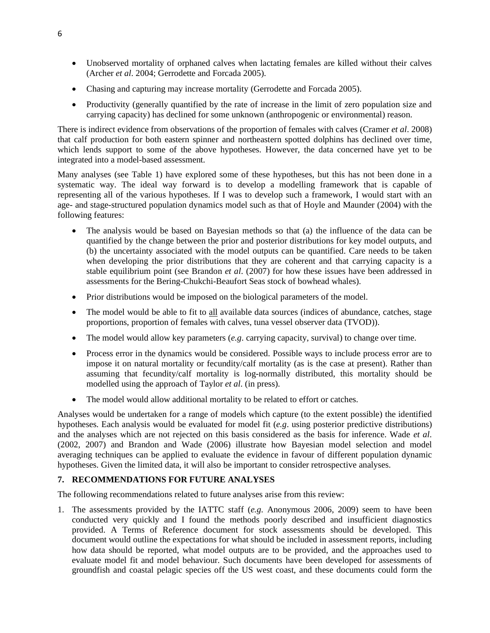- <span id="page-7-0"></span>• Unobserved mortality of orphaned calves when lactating females are killed without their calves (Archer *et al*. 2004; Gerrodette and Forcada 2005).
- Chasing and capturing may increase mortality (Gerrodette and Forcada 2005).
- Productivity (generally quantified by the rate of increase in the limit of zero population size and carrying capacity) has declined for some unknown (anthropogenic or environmental) reason.

There is indirect evidence from observations of the proportion of females with calves (Cramer *et al*. 2008) that calf production for both eastern spinner and northeastern spotted dolphins has declined over time, which lends support to some of the above hypotheses. However, the data concerned have yet to be integrated into a model-based assessment.

Many analyses (see Table 1) have explored some of these hypotheses, but this has not been done in a systematic way. The ideal way forward is to develop a modelling framework that is capable of representing all of the various hypotheses. If I was to develop such a framework, I would start with an age- and stage-structured population dynamics model such as that of Hoyle and Maunder (2004) with the following features:

- The analysis would be based on Bayesian methods so that (a) the influence of the data can be quantified by the change between the prior and posterior distributions for key model outputs, and (b) the uncertainty associated with the model outputs can be quantified. Care needs to be taken when developing the prior distributions that they are coherent and that carrying capacity is a stable equilibrium point (see Brandon *et al*. (2007) for how these issues have been addressed in assessments for the Bering-Chukchi-Beaufort Seas stock of bowhead whales).
- Prior distributions would be imposed on the biological parameters of the model.
- The model would be able to fit to all available data sources (indices of abundance, catches, stage proportions, proportion of females with calves, tuna vessel observer data (TVOD)).
- The model would allow key parameters (*e.g*. carrying capacity, survival) to change over time.
- Process error in the dynamics would be considered. Possible ways to include process error are to impose it on natural mortality or fecundity/calf mortality (as is the case at present). Rather than assuming that fecundity/calf mortality is log-normally distributed, this mortality should be modelled using the approach of Taylor *et al*. (in press).
- The model would allow additional mortality to be related to effort or catches.

Analyses would be undertaken for a range of models which capture (to the extent possible) the identified hypotheses. Each analysis would be evaluated for model fit (*e.g*. using posterior predictive distributions) and the analyses which are not rejected on this basis considered as the basis for inference. Wade *et al*. (2002, 2007) and Brandon and Wade (2006) illustrate how Bayesian model selection and model averaging techniques can be applied to evaluate the evidence in favour of different population dynamic hypotheses. Given the limited data, it will also be important to consider retrospective analyses.

# **7. RECOMMENDATIONS FOR FUTURE ANALYSES**

The following recommendations related to future analyses arise from this review:

1. The assessments provided by the IATTC staff (*e.g.* Anonymous 2006, 2009) seem to have been conducted very quickly and I found the methods poorly described and insufficient diagnostics provided. A Terms of Reference document for stock assessments should be developed. This document would outline the expectations for what should be included in assessment reports, including how data should be reported, what model outputs are to be provided, and the approaches used to evaluate model fit and model behaviour. Such documents have been developed for assessments of groundfish and coastal pelagic species off the US west coast, and these documents could form the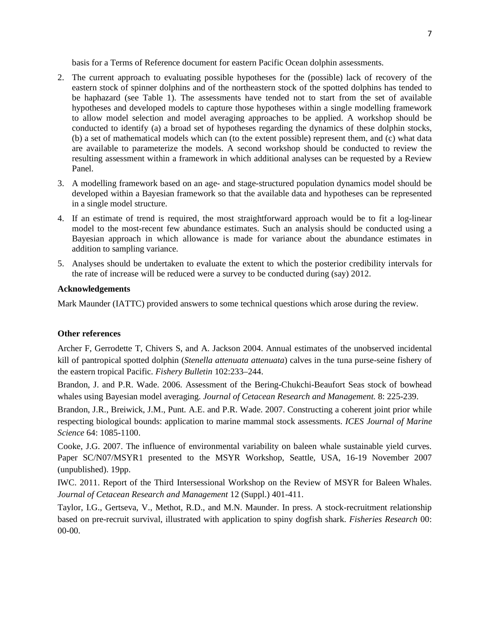basis for a Terms of Reference document for eastern Pacific Ocean dolphin assessments.

- <span id="page-8-0"></span>2. The current approach to evaluating possible hypotheses for the (possible) lack of recovery of the eastern stock of spinner dolphins and of the northeastern stock of the spotted dolphins has tended to be haphazard (see Table 1). The assessments have tended not to start from the set of available hypotheses and developed models to capture those hypotheses within a single modelling framework to allow model selection and model averaging approaches to be applied. A workshop should be conducted to identify (a) a broad set of hypotheses regarding the dynamics of these dolphin stocks, (b) a set of mathematical models which can (to the extent possible) represent them, and (c) what data are available to parameterize the models. A second workshop should be conducted to review the resulting assessment within a framework in which additional analyses can be requested by a Review Panel.
- 3. A modelling framework based on an age- and stage-structured population dynamics model should be developed within a Bayesian framework so that the available data and hypotheses can be represented in a single model structure.
- 4. If an estimate of trend is required, the most straightforward approach would be to fit a log-linear model to the most-recent few abundance estimates. Such an analysis should be conducted using a Bayesian approach in which allowance is made for variance about the abundance estimates in addition to sampling variance.
- 5. Analyses should be undertaken to evaluate the extent to which the posterior credibility intervals for the rate of increase will be reduced were a survey to be conducted during (say) 2012.

#### **Acknowledgements**

Mark Maunder (IATTC) provided answers to some technical questions which arose during the review.

### **Other references**

Archer F, Gerrodette T, Chivers S, and A. Jackson 2004. Annual estimates of the unobserved incidental kill of pantropical spotted dolphin (*Stenella attenuata attenuata*) calves in the tuna purse-seine fishery of the eastern tropical Pacific. *Fishery Bulletin* 102:233–244.

Brandon, J. and P.R. Wade. 2006. Assessment of the Bering-Chukchi-Beaufort Seas stock of bowhead whales using Bayesian model averaging. *Journal of Cetacean Research and Management.* 8: 225-239.

Brandon, J.R., Breiwick, J.M., Punt. A.E. and P.R. Wade. 2007. Constructing a coherent joint prior while respecting biological bounds: application to marine mammal stock assessments. *ICES Journal of Marine Science* 64: 1085-1100.

Cooke, J.G. 2007. The influence of environmental variability on baleen whale sustainable yield curves. Paper SC/N07/MSYR1 presented to the MSYR Workshop, Seattle, USA, 16-19 November 2007 (unpublished). 19pp.

IWC. 2011. Report of the Third Intersessional Workshop on the Review of MSYR for Baleen Whales. *Journal of Cetacean Research and Management* 12 (Suppl.) 401-411.

Taylor, I.G., Gertseva, V., Methot, R.D., and M.N. Maunder. In press. A stock-recruitment relationship based on pre-recruit survival, illustrated with application to spiny dogfish shark. *Fisheries Research* 00: 00-00.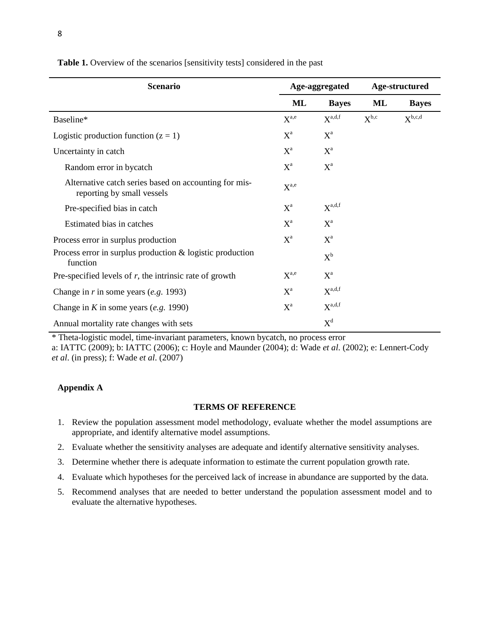| <b>Scenario</b>                                                                     | Age-aggregated |                    | Age-structured |              |
|-------------------------------------------------------------------------------------|----------------|--------------------|----------------|--------------|
|                                                                                     | ML             | <b>Bayes</b>       | ML             | <b>Bayes</b> |
| Baseline*                                                                           | $X^{a,e}$      | $X^{a,d,f}$        | $X^{b,c}$      | $X^{b,c,d}$  |
| Logistic production function $(z = 1)$                                              | $X^a$          | $X^a$              |                |              |
| Uncertainty in catch                                                                | $X^a$          | $X^a$              |                |              |
| Random error in bycatch                                                             | $X^a$          | $X^a$              |                |              |
| Alternative catch series based on accounting for mis-<br>reporting by small vessels | $X^{a,e}$      |                    |                |              |
| Pre-specified bias in catch                                                         | $X^a$          | $X^{\text{a,d,f}}$ |                |              |
| Estimated bias in catches                                                           | $X^a$          | $X^a$              |                |              |
| Process error in surplus production                                                 | $X^a$          | $X^a$              |                |              |
| Process error in surplus production $\&$ logistic production<br>function            |                | $X^b$              |                |              |
| Pre-specified levels of $r$ , the intrinsic rate of growth                          | $X^{a,e}$      | $X^a$              |                |              |
| Change in $r$ in some years (e.g. 1993)                                             | $X^a$          | $X^{\text{a,d,f}}$ |                |              |
| Change in K in some years $(e.g. 1990)$                                             | $X^a$          | $X^{\text{a,d,f}}$ |                |              |
| Annual mortality rate changes with sets                                             |                | $X^d$              |                |              |

<span id="page-9-0"></span>Table 1. Overview of the scenarios [sensitivity tests] considered in the past

\* Theta-logistic model, time-invariant parameters, known bycatch, no process error

a: IATTC (2009); b: IATTC (2006); c: Hoyle and Maunder (2004); d: Wade *et al*. (2002); e: Lennert-Cody *et al*. (in press); f: Wade *et al*. (2007)

### **Appendix A**

#### **TERMS OF REFERENCE**

- 1. Review the population assessment model methodology, evaluate whether the model assumptions are appropriate, and identify alternative model assumptions.
- 2. Evaluate whether the sensitivity analyses are adequate and identify alternative sensitivity analyses.
- 3. Determine whether there is adequate information to estimate the current population growth rate.
- 4. Evaluate which hypotheses for the perceived lack of increase in abundance are supported by the data.
- 5. Recommend analyses that are needed to better understand the population assessment model and to evaluate the alternative hypotheses.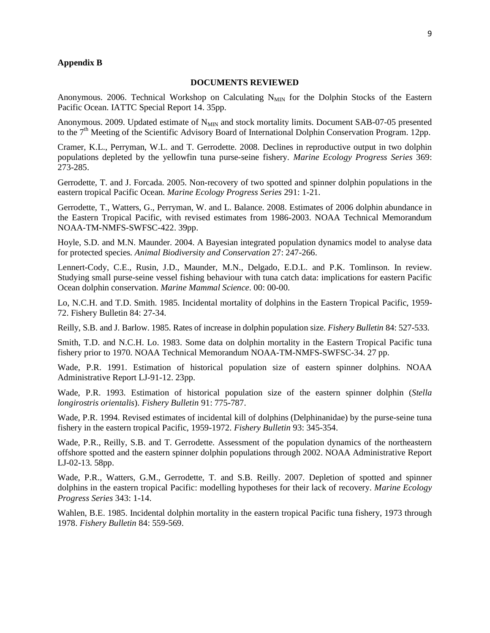#### <span id="page-10-0"></span>**Appendix B**

#### **DOCUMENTS REVIEWED**

Anonymous. 2006. Technical Workshop on Calculating  $N_{MIN}$  for the Dolphin Stocks of the Eastern Pacific Ocean. IATTC Special Report 14. 35pp.

Anonymous. 2009. Updated estimate of N<sub>MIN</sub> and stock mortality limits. Document SAB-07-05 presented to the 7<sup>th</sup> Meeting of the Scientific Advisory Board of International Dolphin Conservation Program. 12pp.

Cramer, K.L., Perryman, W.L. and T. Gerrodette. 2008. Declines in reproductive output in two dolphin populations depleted by the yellowfin tuna purse-seine fishery. *Marine Ecology Progress Series* 369: 273-285.

Gerrodette, T. and J. Forcada. 2005. Non-recovery of two spotted and spinner dolphin populations in the eastern tropical Pacific Ocean. *Marine Ecology Progress Series* 291: 1-21.

Gerrodette, T., Watters, G., Perryman, W. and L. Balance. 2008. Estimates of 2006 dolphin abundance in the Eastern Tropical Pacific, with revised estimates from 1986-2003. NOAA Technical Memorandum NOAA-TM-NMFS-SWFSC-422. 39pp.

Hoyle, S.D. and M.N. Maunder. 2004. A Bayesian integrated population dynamics model to analyse data for protected species. *Animal Biodiversity and Conservation* 27: 247-266.

Lennert-Cody, C.E., Rusin, J.D., Maunder, M.N., Delgado, E.D.L. and P.K. Tomlinson. In review. Studying small purse-seine vessel fishing behaviour with tuna catch data: implications for eastern Pacific Ocean dolphin conservation. *Marine Mammal Science*. 00: 00-00.

Lo, N.C.H. and T.D. Smith. 1985. Incidental mortality of dolphins in the Eastern Tropical Pacific, 1959- 72. Fishery Bulletin 84: 27-34.

Reilly, S.B. and J. Barlow. 1985. Rates of increase in dolphin population size. *Fishery Bulletin* 84: 527-533.

Smith, T.D. and N.C.H. Lo. 1983. Some data on dolphin mortality in the Eastern Tropical Pacific tuna fishery prior to 1970. NOAA Technical Memorandum NOAA-TM-NMFS-SWFSC-34. 27 pp.

Wade, P.R. 1991. Estimation of historical population size of eastern spinner dolphins. NOAA Administrative Report LJ-91-12. 23pp.

Wade, P.R. 1993. Estimation of historical population size of the eastern spinner dolphin (*Stella longirostris orientalis*). *Fishery Bulletin* 91: 775-787.

Wade, P.R. 1994. Revised estimates of incidental kill of dolphins (Delphinanidae) by the purse-seine tuna fishery in the eastern tropical Pacific, 1959-1972. *Fishery Bulletin* 93: 345-354.

Wade, P.R., Reilly, S.B. and T. Gerrodette. Assessment of the population dynamics of the northeastern offshore spotted and the eastern spinner dolphin populations through 2002. NOAA Administrative Report LJ-02-13. 58pp.

Wade, P.R., Watters, G.M., Gerrodette, T. and S.B. Reilly. 2007. Depletion of spotted and spinner dolphins in the eastern tropical Pacific: modelling hypotheses for their lack of recovery. *Marine Ecology Progress Series* 343: 1-14.

Wahlen, B.E. 1985. Incidental dolphin mortality in the eastern tropical Pacific tuna fishery, 1973 through 1978. *Fishery Bulletin* 84: 559-569.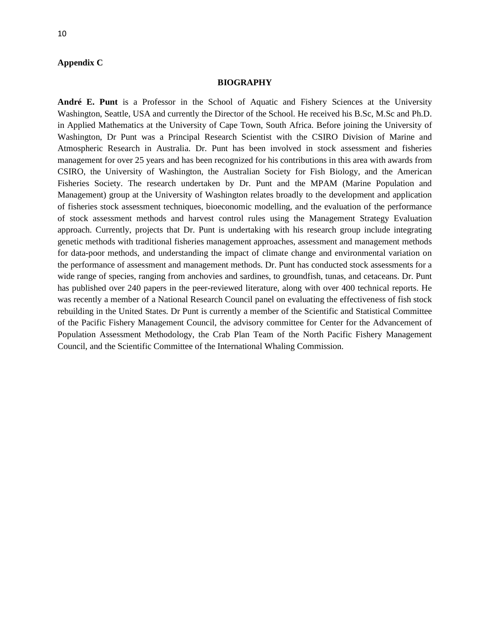#### <span id="page-11-0"></span>**Appendix C**

#### **BIOGRAPHY**

**André E. Punt** is a Professor in the School of Aquatic and Fishery Sciences at the University Washington, Seattle, USA and currently the Director of the School. He received his B.Sc, M.Sc and Ph.D. in Applied Mathematics at the University of Cape Town, South Africa. Before joining the University of Washington, Dr Punt was a Principal Research Scientist with the CSIRO Division of Marine and Atmospheric Research in Australia. Dr. Punt has been involved in stock assessment and fisheries management for over 25 years and has been recognized for his contributions in this area with awards from CSIRO, the University of Washington, the Australian Society for Fish Biology, and the American Fisheries Society. The research undertaken by Dr. Punt and the MPAM (Marine Population and Management) group at the University of Washington relates broadly to the development and application of fisheries stock assessment techniques, bioeconomic modelling, and the evaluation of the performance of stock assessment methods and harvest control rules using the Management Strategy Evaluation approach. Currently, projects that Dr. Punt is undertaking with his research group include integrating genetic methods with traditional fisheries management approaches, assessment and management methods for data-poor methods, and understanding the impact of climate change and environmental variation on the performance of assessment and management methods. Dr. Punt has conducted stock assessments for a wide range of species, ranging from anchovies and sardines, to groundfish, tunas, and cetaceans. Dr. Punt has published over 240 papers in the peer-reviewed literature, along with over 400 technical reports. He was recently a member of a National Research Council panel on evaluating the effectiveness of fish stock rebuilding in the United States. Dr Punt is currently a member of the Scientific and Statistical Committee of the Pacific Fishery Management Council, the advisory committee for Center for the Advancement of Population Assessment Methodology, the Crab Plan Team of the North Pacific Fishery Management Council, and the Scientific Committee of the International Whaling Commission.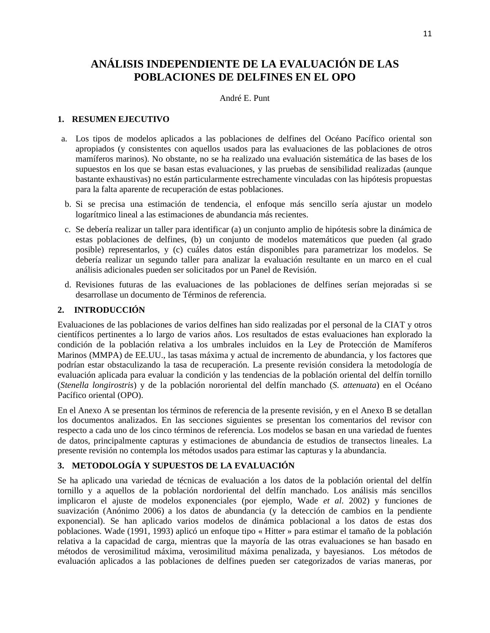# <span id="page-12-0"></span>**ANÁLISIS INDEPENDIENTE DE LA EVALUACIÓN DE LAS POBLACIONES DE DELFINES EN EL OPO**

## André E. Punt

## **1. RESUMEN EJECUTIVO**

- a. Los tipos de modelos aplicados a las poblaciones de delfines del Océano Pacífico oriental son apropiados (y consistentes con aquellos usados para las evaluaciones de las poblaciones de otros mamíferos marinos). No obstante, no se ha realizado una evaluación sistemática de las bases de los supuestos en los que se basan estas evaluaciones, y las pruebas de sensibilidad realizadas (aunque bastante exhaustivas) no están particularmente estrechamente vinculadas con las hipótesis propuestas para la falta aparente de recuperación de estas poblaciones.
- b. Si se precisa una estimación de tendencia, el enfoque más sencillo sería ajustar un modelo logarítmico lineal a las estimaciones de abundancia más recientes.
- c. Se debería realizar un taller para identificar (a) un conjunto amplio de hipótesis sobre la dinámica de estas poblaciones de delfines, (b) un conjunto de modelos matemáticos que pueden (al grado posible) representarlos, y (c) cuáles datos están disponibles para parametrizar los modelos. Se debería realizar un segundo taller para analizar la evaluación resultante en un marco en el cual análisis adicionales pueden ser solicitados por un Panel de Revisión.
- d. Revisiones futuras de las evaluaciones de las poblaciones de delfines serían mejoradas si se desarrollase un documento de Términos de referencia.

## **2. INTRODUCCIÓN**

Evaluaciones de las poblaciones de varios delfines han sido realizadas por el personal de la CIAT y otros científicos pertinentes a lo largo de varios años. Los resultados de estas evaluaciones han explorado la condición de la población relativa a los umbrales incluidos en la Ley de Protección de Mamíferos Marinos (MMPA) de EE.UU., las tasas máxima y actual de incremento de abundancia, y los factores que podrían estar obstaculizando la tasa de recuperación. La presente revisión considera la metodología de evaluación aplicada para evaluar la condición y las tendencias de la población oriental del delfín tornillo (*Stenella longirostris*) y de la población nororiental del delfín manchado (*S. attenuata*) en el Océano Pacífico oriental (OPO).

En el Anexo A se presentan los términos de referencia de la presente revisión, y en el Anexo B se detallan los documentos analizados. En las secciones siguientes se presentan los comentarios del revisor con respecto a cada uno de los cinco términos de referencia. Los modelos se basan en una variedad de fuentes de datos, principalmente capturas y estimaciones de abundancia de estudios de transectos lineales. La presente revisión no contempla los métodos usados para estimar las capturas y la abundancia.

# **3. METODOLOGÍA Y SUPUESTOS DE LA EVALUACIÓN**

Se ha aplicado una variedad de técnicas de evaluación a los datos de la población oriental del delfín tornillo y a aquellos de la población nordoriental del delfín manchado. Los análisis más sencillos implicaron el ajuste de modelos exponenciales (por ejemplo, Wade *et al*. 2002) y funciones de suavización (Anónimo 2006) a los datos de abundancia (y la detección de cambios en la pendiente exponencial). Se han aplicado varios modelos de dinámica poblacional a los datos de estas dos poblaciones. Wade (1991, 1993) aplicó un enfoque tipo « Hitter » para estimar el tamaño de la población relativa a la capacidad de carga, mientras que la mayoría de las otras evaluaciones se han basado en métodos de verosimilitud máxima, verosimilitud máxima penalizada, y bayesianos. Los métodos de evaluación aplicados a las poblaciones de delfines pueden ser categorizados de varias maneras, por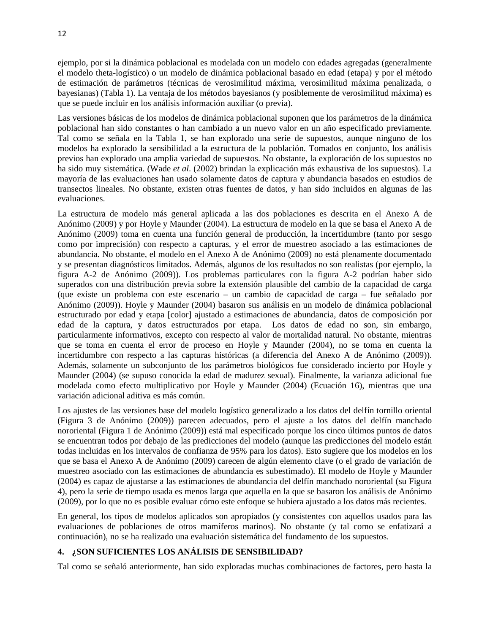<span id="page-13-0"></span>ejemplo, por si la dinámica poblacional es modelada con un modelo con edades agregadas (generalmente el modelo theta-logístico) o un modelo de dinámica poblacional basado en edad (etapa) y por el método de estimación de parámetros (técnicas de verosimilitud máxima, verosimilitud máxima penalizada, o bayesianas) (Tabla 1). La ventaja de los métodos bayesianos (y posiblemente de verosimilitud máxima) es que se puede incluir en los análisis información auxiliar (o previa).

Las versiones básicas de los modelos de dinámica poblacional suponen que los parámetros de la dinámica poblacional han sido constantes o han cambiado a un nuevo valor en un año especificado previamente. Tal como se señala en la Tabla 1, se han explorado una serie de supuestos, aunque ninguno de los modelos ha explorado la sensibilidad a la estructura de la población. Tomados en conjunto, los análisis previos han explorado una amplia variedad de supuestos. No obstante, la exploración de los supuestos no ha sido muy sistemática. (Wade *et al*. (2002) brindan la explicación más exhaustiva de los supuestos). La mayoría de las evaluaciones han usado solamente datos de captura y abundancia basados en estudios de transectos lineales. No obstante, existen otras fuentes de datos, y han sido incluidos en algunas de las evaluaciones.

La estructura de modelo más general aplicada a las dos poblaciones es descrita en el Anexo A de Anónimo (2009) y por Hoyle y Maunder (2004). La estructura de modelo en la que se basa el Anexo A de Anónimo (2009) toma en cuenta una función general de producción, la incertidumbre (tanto por sesgo como por imprecisión) con respecto a capturas, y el error de muestreo asociado a las estimaciones de abundancia. No obstante, el modelo en el Anexo A de Anónimo (2009) no está plenamente documentado y se presentan diagnósticos limitados. Además, algunos de los resultados no son realistas (por ejemplo, la figura A-2 de Anónimo (2009)). Los problemas particulares con la figura A-2 podrían haber sido superados con una distribución previa sobre la extensión plausible del cambio de la capacidad de carga (que existe un problema con este escenario – un cambio de capacidad de carga – fue señalado por Anónimo (2009)). Hoyle y Maunder (2004) basaron sus análisis en un modelo de dinámica poblacional estructurado por edad y etapa [color] ajustado a estimaciones de abundancia, datos de composición por edad de la captura, y datos estructurados por etapa. Los datos de edad no son, sin embargo, particularmente informativos, excepto con respecto al valor de mortalidad natural. No obstante, mientras que se toma en cuenta el error de proceso en Hoyle y Maunder (2004), no se toma en cuenta la incertidumbre con respecto a las capturas históricas (a diferencia del Anexo A de Anónimo (2009)). Además, solamente un subconjunto de los parámetros biológicos fue considerado incierto por Hoyle y Maunder (2004) (se supuso conocida la edad de madurez sexual). Finalmente, la varianza adicional fue modelada como efecto multiplicativo por Hoyle y Maunder (2004) (Ecuación 16), mientras que una variación adicional aditiva es más común.

Los ajustes de las versiones base del modelo logístico generalizado a los datos del delfín tornillo oriental (Figura 3 de Anónimo (2009)) parecen adecuados, pero el ajuste a los datos del delfín manchado nororiental (Figura 1 de Anónimo (2009)) está mal especificado porque los cinco últimos puntos de datos se encuentran todos por debajo de las predicciones del modelo (aunque las predicciones del modelo están todas incluidas en los intervalos de confianza de 95% para los datos). Esto sugiere que los modelos en los que se basa el Anexo A de Anónimo (2009) carecen de algún elemento clave (o el grado de variación de muestreo asociado con las estimaciones de abundancia es subestimado). El modelo de Hoyle y Maunder (2004) es capaz de ajustarse a las estimaciones de abundancia del delfín manchado nororiental (su Figura 4), pero la serie de tiempo usada es menos larga que aquella en la que se basaron los análisis de Anónimo (2009), por lo que no es posible evaluar cómo este enfoque se hubiera ajustado a los datos más recientes.

En general, los tipos de modelos aplicados son apropiados (y consistentes con aquellos usados para las evaluaciones de poblaciones de otros mamíferos marinos). No obstante (y tal como se enfatizará a continuación), no se ha realizado una evaluación sistemática del fundamento de los supuestos.

## **4. ¿SON SUFICIENTES LOS ANÁLISIS DE SENSIBILIDAD?**

Tal como se señaló anteriormente, han sido exploradas muchas combinaciones de factores, pero hasta la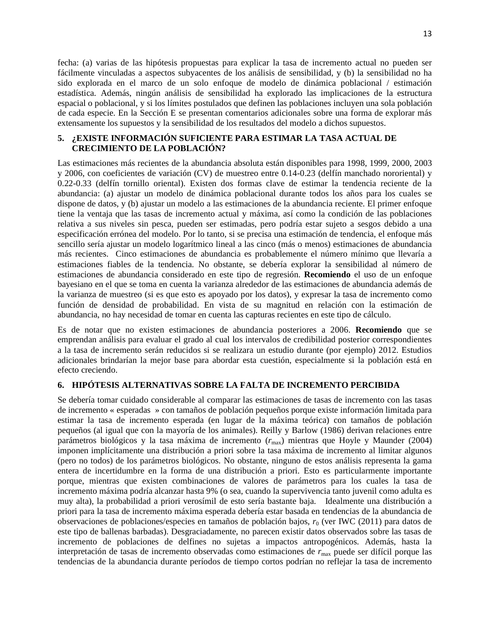<span id="page-14-0"></span>fecha: (a) varias de las hipótesis propuestas para explicar la tasa de incremento actual no pueden ser fácilmente vinculadas a aspectos subyacentes de los análisis de sensibilidad, y (b) la sensibilidad no ha sido explorada en el marco de un solo enfoque de modelo de dinámica poblacional / estimación estadística. Además, ningún análisis de sensibilidad ha explorado las implicaciones de la estructura espacial o poblacional, y si los límites postulados que definen las poblaciones incluyen una sola población de cada especie. En la Sección E se presentan comentarios adicionales sobre una forma de explorar más extensamente los supuestos y la sensibilidad de los resultados del modelo a dichos supuestos.

### **5. ¿EXISTE INFORMACIÓN SUFICIENTE PARA ESTIMAR LA TASA ACTUAL DE CRECIMIENTO DE LA POBLACIÓN?**

Las estimaciones más recientes de la abundancia absoluta están disponibles para 1998, 1999, 2000, 2003 y 2006, con coeficientes de variación (CV) de muestreo entre 0.14-0.23 (delfín manchado nororiental) y 0.22-0.33 (delfín tornillo oriental). Existen dos formas clave de estimar la tendencia reciente de la abundancia: (a) ajustar un modelo de dinámica poblacional durante todos los años para los cuales se dispone de datos, y (b) ajustar un modelo a las estimaciones de la abundancia reciente. El primer enfoque tiene la ventaja que las tasas de incremento actual y máxima, así como la condición de las poblaciones relativa a sus niveles sin pesca, pueden ser estimadas, pero podría estar sujeto a sesgos debido a una especificación errónea del modelo. Por lo tanto, si se precisa una estimación de tendencia, el enfoque más sencillo sería ajustar un modelo logarítmico lineal a las cinco (más o menos) estimaciones de abundancia más recientes. Cinco estimaciones de abundancia es probablemente el número mínimo que llevaría a estimaciones fiables de la tendencia. No obstante, se debería explorar la sensibilidad al número de estimaciones de abundancia considerado en este tipo de regresión. **Recomiendo** el uso de un enfoque bayesiano en el que se toma en cuenta la varianza alrededor de las estimaciones de abundancia además de la varianza de muestreo (si es que esto es apoyado por los datos), y expresar la tasa de incremento como función de densidad de probabilidad. En vista de su magnitud en relación con la estimación de abundancia, no hay necesidad de tomar en cuenta las capturas recientes en este tipo de cálculo.

Es de notar que no existen estimaciones de abundancia posteriores a 2006. **Recomiendo** que se emprendan análisis para evaluar el grado al cual los intervalos de credibilidad posterior correspondientes a la tasa de incremento serán reducidos si se realizara un estudio durante (por ejemplo) 2012. Estudios adicionales brindarían la mejor base para abordar esta cuestión, especialmente si la población está en efecto creciendo.

## **6. HIPÓTESIS ALTERNATIVAS SOBRE LA FALTA DE INCREMENTO PERCIBIDA**

Se debería tomar cuidado considerable al comparar las estimaciones de tasas de incremento con las tasas de incremento « esperadas » con tamaños de población pequeños porque existe información limitada para estimar la tasa de incremento esperada (en lugar de la máxima teórica) con tamaños de población pequeños (al igual que con la mayoría de los animales). Reilly y Barlow (1986) derivan relaciones entre parámetros biológicos y la tasa máxima de incremento (*r*max) mientras que Hoyle y Maunder (2004) imponen implícitamente una distribución a priori sobre la tasa máxima de incremento al limitar algunos (pero no todos) de los parámetros biológicos. No obstante, ninguno de estos análisis representa la gama entera de incertidumbre en la forma de una distribución a priori. Esto es particularmente importante porque, mientras que existen combinaciones de valores de parámetros para los cuales la tasa de incremento máxima podría alcanzar hasta 9% (o sea, cuando la supervivencia tanto juvenil como adulta es muy alta), la probabilidad a priori verosímil de esto sería bastante baja. Idealmente una distribución a priori para la tasa de incremento máxima esperada debería estar basada en tendencias de la abundancia de observaciones de poblaciones/especies en tamaños de población bajos,  $r_0$  (ver IWC (2011) para datos de este tipo de ballenas barbadas). Desgraciadamente, no parecen existir datos observados sobre las tasas de incremento de poblaciones de delfines no sujetas a impactos antropogénicos. Además, hasta la interpretación de tasas de incremento observadas como estimaciones de *r*max puede ser difícil porque las tendencias de la abundancia durante períodos de tiempo cortos podrían no reflejar la tasa de incremento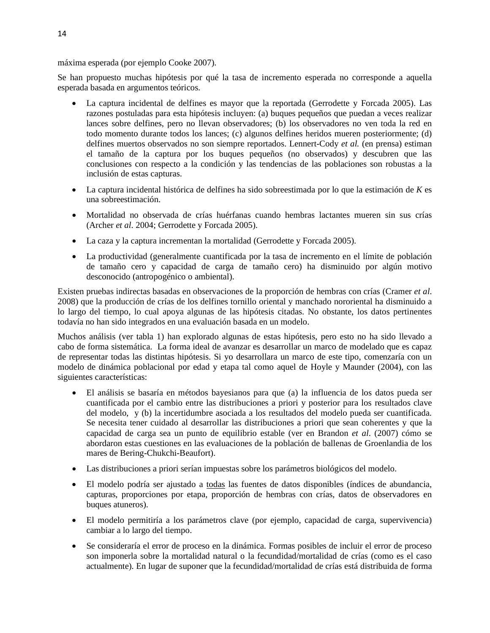máxima esperada (por ejemplo Cooke 2007).

Se han propuesto muchas hipótesis por qué la tasa de incremento esperada no corresponde a aquella esperada basada en argumentos teóricos.

- La captura incidental de delfines es mayor que la reportada (Gerrodette y Forcada 2005). Las razones postuladas para esta hipótesis incluyen: (a) buques pequeños que puedan a veces realizar lances sobre delfines, pero no llevan observadores; (b) los observadores no ven toda la red en todo momento durante todos los lances; (c) algunos delfines heridos mueren posteriormente; (d) delfines muertos observados no son siempre reportados. Lennert-Cody *et al.* (en prensa) estiman el tamaño de la captura por los buques pequeños (no observados) y descubren que las conclusiones con respecto a la condición y las tendencias de las poblaciones son robustas a la inclusión de estas capturas.
- La captura incidental histórica de delfines ha sido sobreestimada por lo que la estimación de *K* es una sobreestimación.
- Mortalidad no observada de crías huérfanas cuando hembras lactantes mueren sin sus crías (Archer *et al*. 2004; Gerrodette y Forcada 2005).
- La caza y la captura incrementan la mortalidad (Gerrodette y Forcada 2005).
- La productividad (generalmente cuantificada por la tasa de incremento en el límite de población de tamaño cero y capacidad de carga de tamaño cero) ha disminuido por algún motivo desconocido (antropogénico o ambiental).

Existen pruebas indirectas basadas en observaciones de la proporción de hembras con crías (Cramer *et al*. 2008) que la producción de crías de los delfines tornillo oriental y manchado nororiental ha disminuido a lo largo del tiempo, lo cual apoya algunas de las hipótesis citadas. No obstante, los datos pertinentes todavía no han sido integrados en una evaluación basada en un modelo.

Muchos análisis (ver tabla 1) han explorado algunas de estas hipótesis, pero esto no ha sido llevado a cabo de forma sistemática. La forma ideal de avanzar es desarrollar un marco de modelado que es capaz de representar todas las distintas hipótesis. Si yo desarrollara un marco de este tipo, comenzaría con un modelo de dinámica poblacional por edad y etapa tal como aquel de Hoyle y Maunder (2004), con las siguientes características:

- El análisis se basaría en métodos bayesianos para que (a) la influencia de los datos pueda ser cuantificada por el cambio entre las distribuciones a priori y posterior para los resultados clave del modelo, y (b) la incertidumbre asociada a los resultados del modelo pueda ser cuantificada. Se necesita tener cuidado al desarrollar las distribuciones a priori que sean coherentes y que la capacidad de carga sea un punto de equilibrio estable (ver en Brandon *et al*. (2007) cómo se abordaron estas cuestiones en las evaluaciones de la población de ballenas de Groenlandia de los mares de Bering-Chukchi-Beaufort).
- Las distribuciones a priori serían impuestas sobre los parámetros biológicos del modelo.
- El modelo podría ser ajustado a todas las fuentes de datos disponibles (índices de abundancia, capturas, proporciones por etapa, proporción de hembras con crías, datos de observadores en buques atuneros).
- El modelo permitiría a los parámetros clave (por ejemplo, capacidad de carga, supervivencia) cambiar a lo largo del tiempo.
- Se consideraría el error de proceso en la dinámica. Formas posibles de incluir el error de proceso son imponerla sobre la mortalidad natural o la fecundidad/mortalidad de crías (como es el caso actualmente). En lugar de suponer que la fecundidad/mortalidad de crías está distribuida de forma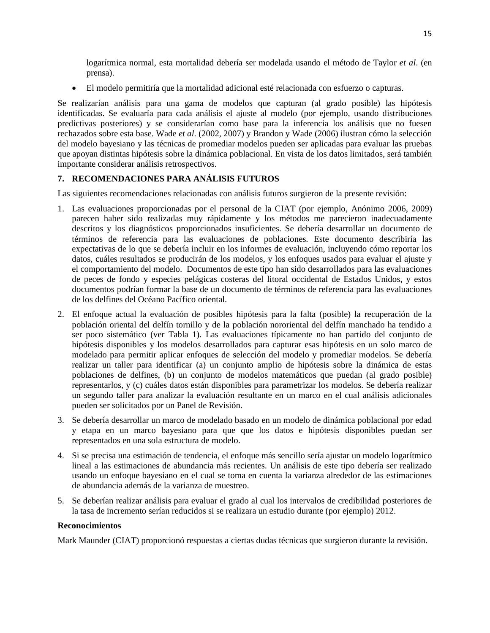<span id="page-16-0"></span>logarítmica normal, esta mortalidad debería ser modelada usando el método de Taylor *et al*. (en prensa).

• El modelo permitiría que la mortalidad adicional esté relacionada con esfuerzo o capturas.

Se realizarían análisis para una gama de modelos que capturan (al grado posible) las hipótesis identificadas. Se evaluaría para cada análisis el ajuste al modelo (por ejemplo, usando distribuciones predictivas posteriores) y se considerarían como base para la inferencia los análisis que no fuesen rechazados sobre esta base. Wade *et al*. (2002, 2007) y Brandon y Wade (2006) ilustran cómo la selección del modelo bayesiano y las técnicas de promediar modelos pueden ser aplicadas para evaluar las pruebas que apoyan distintas hipótesis sobre la dinámica poblacional. En vista de los datos limitados, será también importante considerar análisis retrospectivos.

# **7. RECOMENDACIONES PARA ANÁLISIS FUTUROS**

Las siguientes recomendaciones relacionadas con análisis futuros surgieron de la presente revisión:

- 1. Las evaluaciones proporcionadas por el personal de la CIAT (por ejemplo, Anónimo 2006, 2009) parecen haber sido realizadas muy rápidamente y los métodos me parecieron inadecuadamente descritos y los diagnósticos proporcionados insuficientes. Se debería desarrollar un documento de términos de referencia para las evaluaciones de poblaciones. Este documento describiría las expectativas de lo que se debería incluir en los informes de evaluación, incluyendo cómo reportar los datos, cuáles resultados se producirán de los modelos, y los enfoques usados para evaluar el ajuste y el comportamiento del modelo. Documentos de este tipo han sido desarrollados para las evaluaciones de peces de fondo y especies pelágicas costeras del litoral occidental de Estados Unidos, y estos documentos podrían formar la base de un documento de términos de referencia para las evaluaciones de los delfines del Océano Pacífico oriental.
- 2. El enfoque actual la evaluación de posibles hipótesis para la falta (posible) la recuperación de la población oriental del delfín tornillo y de la población nororiental del delfín manchado ha tendido a ser poco sistemático (ver Tabla 1). Las evaluaciones típicamente no han partido del conjunto de hipótesis disponibles y los modelos desarrollados para capturar esas hipótesis en un solo marco de modelado para permitir aplicar enfoques de selección del modelo y promediar modelos. Se debería realizar un taller para identificar (a) un conjunto amplio de hipótesis sobre la dinámica de estas poblaciones de delfines, (b) un conjunto de modelos matemáticos que puedan (al grado posible) representarlos, y (c) cuáles datos están disponibles para parametrizar los modelos. Se debería realizar un segundo taller para analizar la evaluación resultante en un marco en el cual análisis adicionales pueden ser solicitados por un Panel de Revisión.
- 3. Se debería desarrollar un marco de modelado basado en un modelo de dinámica poblacional por edad y etapa en un marco bayesiano para que que los datos e hipótesis disponibles puedan ser representados en una sola estructura de modelo.
- 4. Si se precisa una estimación de tendencia, el enfoque más sencillo sería ajustar un modelo logarítmico lineal a las estimaciones de abundancia más recientes. Un análisis de este tipo debería ser realizado usando un enfoque bayesiano en el cual se toma en cuenta la varianza alrededor de las estimaciones de abundancia además de la varianza de muestreo.
- 5. Se deberían realizar análisis para evaluar el grado al cual los intervalos de credibilidad posteriores de la tasa de incremento serían reducidos si se realizara un estudio durante (por ejemplo) 2012.

#### **Reconocimientos**

Mark Maunder (CIAT) proporcionó respuestas a ciertas dudas técnicas que surgieron durante la revisión.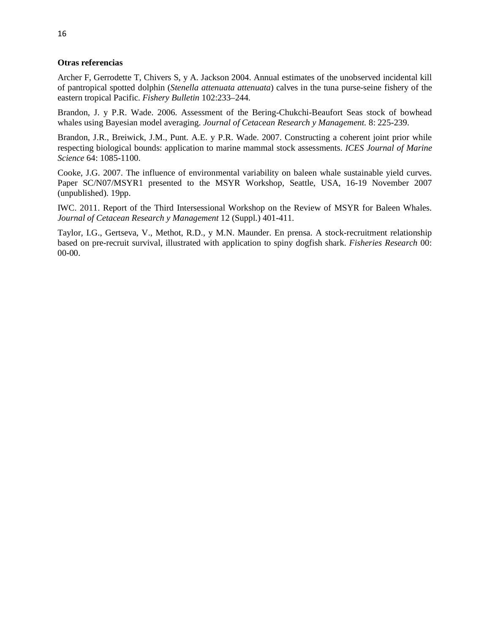### <span id="page-17-0"></span>**Otras referencias**

Archer F, Gerrodette T, Chivers S, y A. Jackson 2004. Annual estimates of the unobserved incidental kill of pantropical spotted dolphin (*Stenella attenuata attenuata*) calves in the tuna purse-seine fishery of the eastern tropical Pacific. *Fishery Bulletin* 102:233–244.

Brandon, J. y P.R. Wade. 2006. Assessment of the Bering-Chukchi-Beaufort Seas stock of bowhead whales using Bayesian model averaging. *Journal of Cetacean Research y Management.* 8: 225-239.

Brandon, J.R., Breiwick, J.M., Punt. A.E. y P.R. Wade. 2007. Constructing a coherent joint prior while respecting biological bounds: application to marine mammal stock assessments. *ICES Journal of Marine Science* 64: 1085-1100.

Cooke, J.G. 2007. The influence of environmental variability on baleen whale sustainable yield curves. Paper SC/N07/MSYR1 presented to the MSYR Workshop, Seattle, USA, 16-19 November 2007 (unpublished). 19pp.

IWC. 2011. Report of the Third Intersessional Workshop on the Review of MSYR for Baleen Whales. *Journal of Cetacean Research y Management* 12 (Suppl.) 401-411.

Taylor, I.G., Gertseva, V., Methot, R.D., y M.N. Maunder. En prensa. A stock-recruitment relationship based on pre-recruit survival, illustrated with application to spiny dogfish shark. *Fisheries Research* 00: 00-00.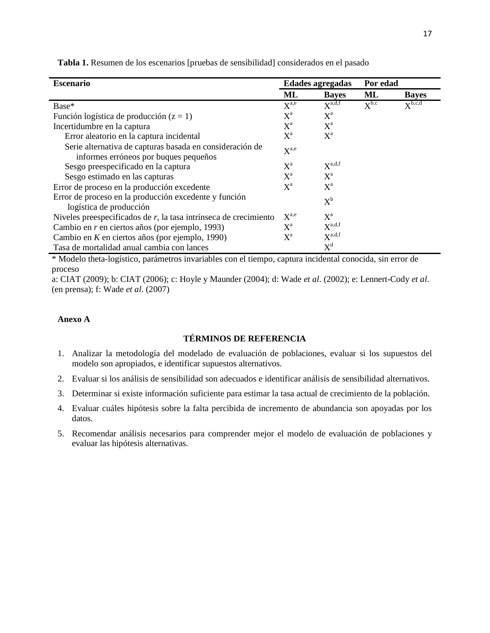| <b>Escenario</b>                                                                                  |                  | <b>Edades agregadas</b>   |                           | Por edad                    |  |
|---------------------------------------------------------------------------------------------------|------------------|---------------------------|---------------------------|-----------------------------|--|
|                                                                                                   | ML               | <b>Bayes</b>              | ML                        | <b>Bayes</b>                |  |
| Base*                                                                                             |                  | $X^{a,d,f}$               | $\mathbf{Y}^{\text{b,c}}$ | $\mathbf{v}^{\text{b,c,d}}$ |  |
| Función logística de producción ( $z = 1$ )                                                       |                  | $X^{\mathrm{a}}$          |                           |                             |  |
| Incertidumbre en la captura                                                                       |                  | $\mathrm{X}^{\mathrm{a}}$ |                           |                             |  |
| Error aleatorio en la captura incidental                                                          | $X^a$            | $\mathrm{X}^{\mathrm{a}}$ |                           |                             |  |
| Serie alternativa de capturas basada en consideración de<br>informes erróneos por buques pequeños | $X^{a,e}$        |                           |                           |                             |  |
| Sesgo preespecificado en la captura                                                               | $X^{\mathrm{a}}$ | $X^{\text{a,d,f}}$        |                           |                             |  |
| Sesgo estimado en las capturas                                                                    | $X^{\mathrm{a}}$ | $X^{\mathrm{a}}$          |                           |                             |  |
| Error de proceso en la producción excedente                                                       |                  | $\mathrm{X}^{\mathrm{a}}$ |                           |                             |  |
| Error de proceso en la producción excedente y función<br>logística de producción                  |                  | $\mathrm{X}^{\rm b}$      |                           |                             |  |
| Niveles preespecificados de $r$ , la tasa intrínseca de crecimiento                               |                  | $X^{\mathrm{a}}$          |                           |                             |  |
| Cambio en r en ciertos años (por ejemplo, 1993)                                                   |                  | $X^{a,d,f}$               |                           |                             |  |
| Cambio en $K$ en ciertos años (por ejemplo, 1990)                                                 |                  | $X^{a,d,f}$               |                           |                             |  |
| Tasa de mortalidad anual cambia con lances                                                        |                  | $X^d$                     |                           |                             |  |

<span id="page-18-0"></span>**Tabla 1.** Resumen de los escenarios [pruebas de sensibilidad] considerados en el pasado

\* Modelo theta-logístico, parámetros invariables con el tiempo, captura incidental conocida, sin error de proceso

a: CIAT (2009); b: CIAT (2006); c: Hoyle y Maunder (2004); d: Wade *et al*. (2002); e: Lennert-Cody *et al*. (en prensa); f: Wade *et al*. (2007)

### **Anexo A**

# **TÉRMINOS DE REFERENCIA**

- 1. Analizar la metodología del modelado de evaluación de poblaciones, evaluar si los supuestos del modelo son apropiados, e identificar supuestos alternativos.
- 2. Evaluar si los análisis de sensibilidad son adecuados e identificar análisis de sensibilidad alternativos.
- 3. Determinar si existe información suficiente para estimar la tasa actual de crecimiento de la población.
- 4. Evaluar cuáles hipótesis sobre la falta percibida de incremento de abundancia son apoyadas por los datos.
- 5. Recomendar análisis necesarios para comprender mejor el modelo de evaluación de poblaciones y evaluar las hipótesis alternativas.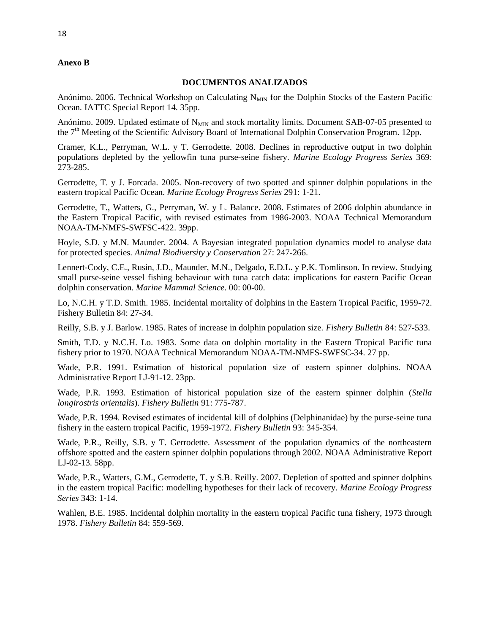### <span id="page-19-0"></span>**Anexo B**

### **DOCUMENTOS ANALIZADOS**

Anónimo. 2006. Technical Workshop on Calculating  $N_{MIN}$  for the Dolphin Stocks of the Eastern Pacific Ocean. IATTC Special Report 14. 35pp.

Anónimo. 2009. Updated estimate of N<sub>MIN</sub> and stock mortality limits. Document SAB-07-05 presented to the 7<sup>th</sup> Meeting of the Scientific Advisory Board of International Dolphin Conservation Program. 12pp.

Cramer, K.L., Perryman, W.L. y T. Gerrodette. 2008. Declines in reproductive output in two dolphin populations depleted by the yellowfin tuna purse-seine fishery. *Marine Ecology Progress Series* 369: 273-285.

Gerrodette, T. y J. Forcada. 2005. Non-recovery of two spotted and spinner dolphin populations in the eastern tropical Pacific Ocean. *Marine Ecology Progress Series* 291: 1-21.

Gerrodette, T., Watters, G., Perryman, W. y L. Balance. 2008. Estimates of 2006 dolphin abundance in the Eastern Tropical Pacific, with revised estimates from 1986-2003. NOAA Technical Memorandum NOAA-TM-NMFS-SWFSC-422. 39pp.

Hoyle, S.D. y M.N. Maunder. 2004. A Bayesian integrated population dynamics model to analyse data for protected species. *Animal Biodiversity y Conservation* 27: 247-266.

Lennert-Cody, C.E., Rusin, J.D., Maunder, M.N., Delgado, E.D.L. y P.K. Tomlinson. In review. Studying small purse-seine vessel fishing behaviour with tuna catch data: implications for eastern Pacific Ocean dolphin conservation. *Marine Mammal Science*. 00: 00-00.

Lo, N.C.H. y T.D. Smith. 1985. Incidental mortality of dolphins in the Eastern Tropical Pacific, 1959-72. Fishery Bulletin 84: 27-34.

Reilly, S.B. y J. Barlow. 1985. Rates of increase in dolphin population size. *Fishery Bulletin* 84: 527-533.

Smith, T.D. y N.C.H. Lo. 1983. Some data on dolphin mortality in the Eastern Tropical Pacific tuna fishery prior to 1970. NOAA Technical Memorandum NOAA-TM-NMFS-SWFSC-34. 27 pp.

Wade, P.R. 1991. Estimation of historical population size of eastern spinner dolphins. NOAA Administrative Report LJ-91-12. 23pp.

Wade, P.R. 1993. Estimation of historical population size of the eastern spinner dolphin (*Stella longirostris orientalis*). *Fishery Bulletin* 91: 775-787.

Wade, P.R. 1994. Revised estimates of incidental kill of dolphins (Delphinanidae) by the purse-seine tuna fishery in the eastern tropical Pacific, 1959-1972. *Fishery Bulletin* 93: 345-354.

Wade, P.R., Reilly, S.B. y T. Gerrodette. Assessment of the population dynamics of the northeastern offshore spotted and the eastern spinner dolphin populations through 2002. NOAA Administrative Report LJ-02-13. 58pp.

Wade, P.R., Watters, G.M., Gerrodette, T. y S.B. Reilly. 2007. Depletion of spotted and spinner dolphins in the eastern tropical Pacific: modelling hypotheses for their lack of recovery. *Marine Ecology Progress Series* 343: 1-14.

Wahlen, B.E. 1985. Incidental dolphin mortality in the eastern tropical Pacific tuna fishery, 1973 through 1978. *Fishery Bulletin* 84: 559-569.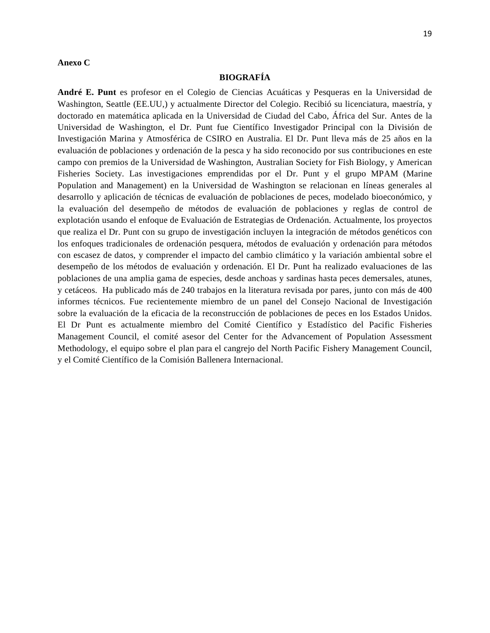#### <span id="page-20-0"></span>**Anexo C**

#### **BIOGRAFÍA**

**André E. Punt** es profesor en el Colegio de Ciencias Acuáticas y Pesqueras en la Universidad de Washington, Seattle (EE.UU,) y actualmente Director del Colegio. Recibió su licenciatura, maestría, y doctorado en matemática aplicada en la Universidad de Ciudad del Cabo, África del Sur. Antes de la Universidad de Washington, el Dr. Punt fue Científico Investigador Principal con la División de Investigación Marina y Atmosférica de CSIRO en Australia. El Dr. Punt lleva más de 25 años en la evaluación de poblaciones y ordenación de la pesca y ha sido reconocido por sus contribuciones en este campo con premios de la Universidad de Washington, Australian Society for Fish Biology, y American Fisheries Society. Las investigaciones emprendidas por el Dr. Punt y el grupo MPAM (Marine Population and Management) en la Universidad de Washington se relacionan en líneas generales al desarrollo y aplicación de técnicas de evaluación de poblaciones de peces, modelado bioeconómico, y la evaluación del desempeño de métodos de evaluación de poblaciones y reglas de control de explotación usando el enfoque de Evaluación de Estrategias de Ordenación. Actualmente, los proyectos que realiza el Dr. Punt con su grupo de investigación incluyen la integración de métodos genéticos con los enfoques tradicionales de ordenación pesquera, métodos de evaluación y ordenación para métodos con escasez de datos, y comprender el impacto del cambio climático y la variación ambiental sobre el desempeño de los métodos de evaluación y ordenación. El Dr. Punt ha realizado evaluaciones de las poblaciones de una amplia gama de especies, desde anchoas y sardinas hasta peces demersales, atunes, y cetáceos. Ha publicado más de 240 trabajos en la literatura revisada por pares, junto con más de 400 informes técnicos. Fue recientemente miembro de un panel del Consejo Nacional de Investigación sobre la evaluación de la eficacia de la reconstrucción de poblaciones de peces en los Estados Unidos. El Dr Punt es actualmente miembro del Comité Científico y Estadístico del Pacific Fisheries Management Council, el comité asesor del Center for the Advancement of Population Assessment Methodology, el equipo sobre el plan para el cangrejo del North Pacific Fishery Management Council, y el Comité Científico de la Comisión Ballenera Internacional.